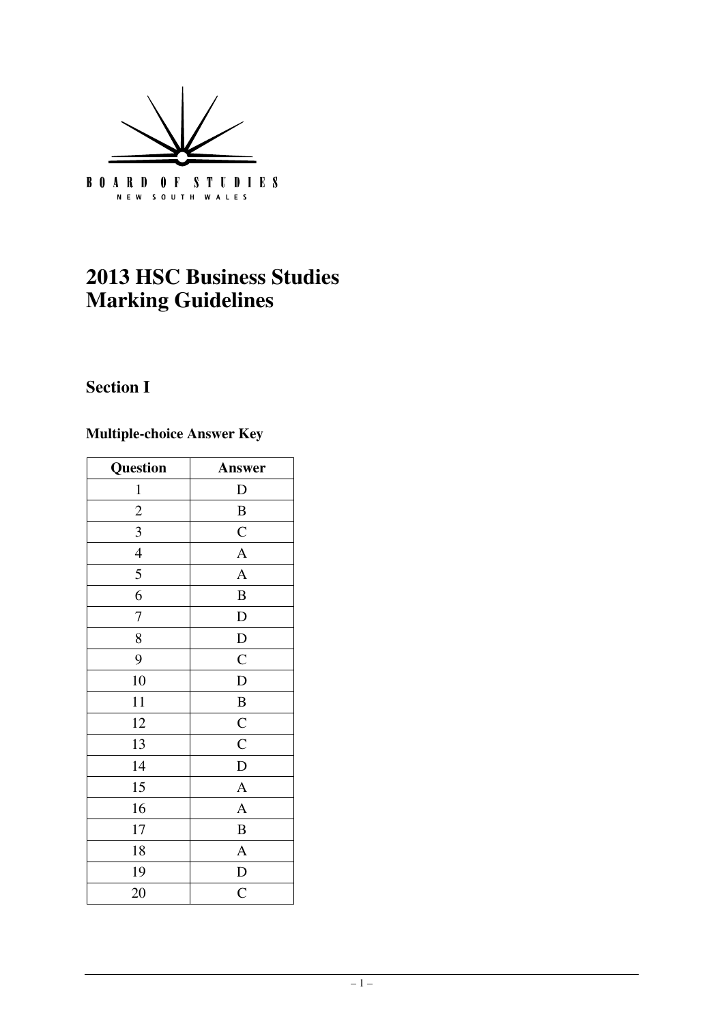

# **2013 HSC Business Studies Marking Guidelines**

# **Section I**

# **Multiple-choice Answer Key**

| Question       | Answer         |
|----------------|----------------|
| $\mathbf{1}$   | D              |
| $\overline{c}$ | $\bf{B}$       |
| 3              | $\mathsf{C}$   |
| $\overline{4}$ | $\overline{A}$ |
| 5              | $\overline{A}$ |
| 6              | $\, {\bf B}$   |
| $\overline{7}$ | D              |
| 8              | $\mathbf D$    |
| 9              | $\mathsf{C}$   |
| 10             | $\mathbf D$    |
| 11             | $\bf{B}$       |
| 12             | $\overline{C}$ |
| 13             | $\overline{C}$ |
| 14             | $\mathbf D$    |
| 15             | $\overline{A}$ |
| 16             | $\overline{A}$ |
| 17             | $\bf{B}$       |
| 18             | $\mathbf{A}$   |
| 19             | D              |
| 20             | $\mathsf{C}$   |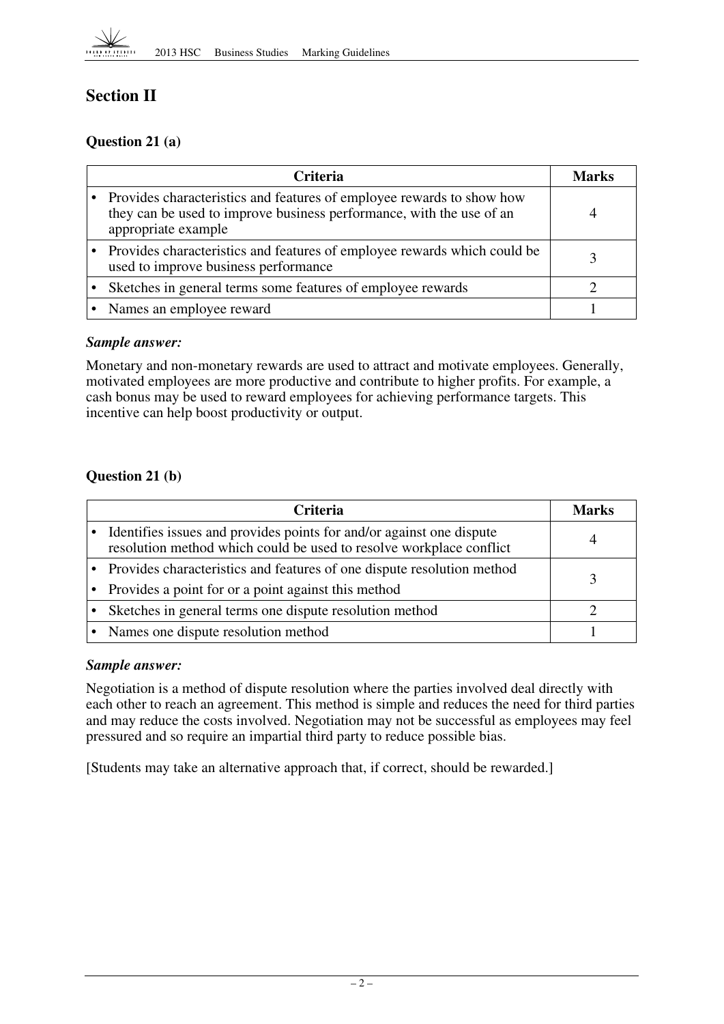

# **Section II**

## **Question 21 (a)**

| Criteria                                                                                                                                                               | Marks |
|------------------------------------------------------------------------------------------------------------------------------------------------------------------------|-------|
| • Provides characteristics and features of employee rewards to show how<br>they can be used to improve business performance, with the use of an<br>appropriate example |       |
| • Provides characteristics and features of employee rewards which could be<br>used to improve business performance                                                     |       |
| Sketches in general terms some features of employee rewards                                                                                                            |       |
| Names an employee reward                                                                                                                                               |       |

#### *Sample answer:*

Monetary and non-monetary rewards are used to attract and motivate employees. Generally, motivated employees are more productive and contribute to higher profits. For example, a cash bonus may be used to reward employees for achieving performance targets. This incentive can help boost productivity or output.

#### **Question 21 (b)**

| <b>Criteria</b>                                                                                                                             | Marks |
|---------------------------------------------------------------------------------------------------------------------------------------------|-------|
| Identifies issues and provides points for and/or against one dispute<br>resolution method which could be used to resolve workplace conflict |       |
| • Provides characteristics and features of one dispute resolution method                                                                    |       |
| • Provides a point for or a point against this method                                                                                       |       |
| • Sketches in general terms one dispute resolution method                                                                                   |       |
| • Names one dispute resolution method                                                                                                       |       |

#### *Sample answer:*

Negotiation is a method of dispute resolution where the parties involved deal directly with each other to reach an agreement. This method is simple and reduces the need for third parties and may reduce the costs involved. Negotiation may not be successful as employees may feel pressured and so require an impartial third party to reduce possible bias.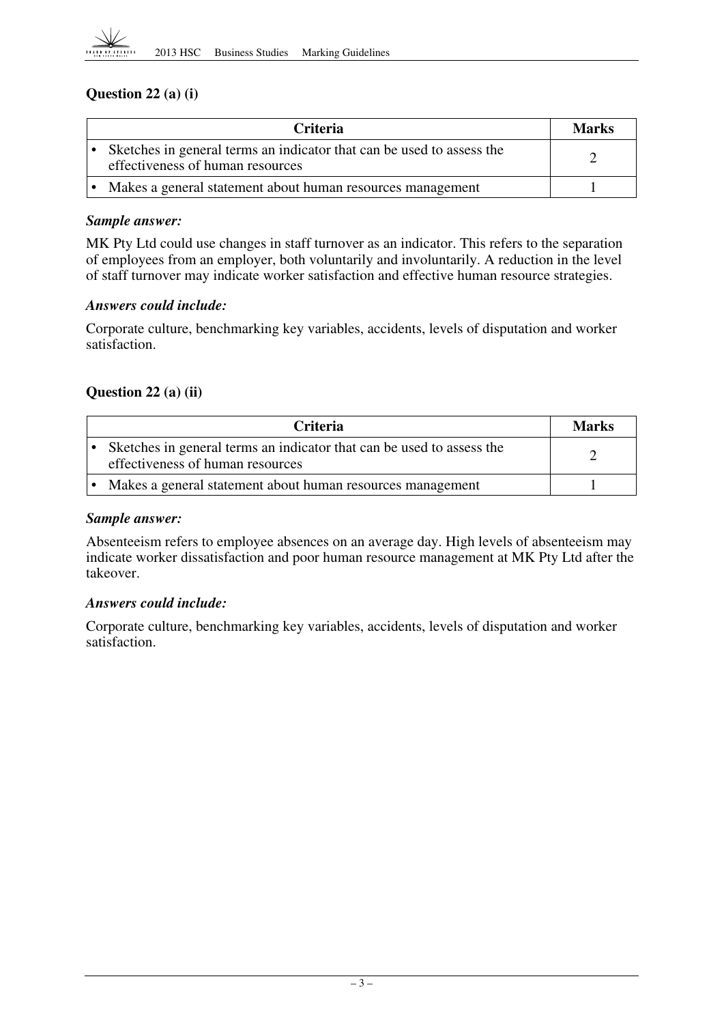

#### **Question 22 (a) (i)**

| <b>Criteria</b>                                                                                           | <b>Marks</b> |
|-----------------------------------------------------------------------------------------------------------|--------------|
| Sketches in general terms an indicator that can be used to assess the<br>effectiveness of human resources |              |
| Makes a general statement about human resources management                                                |              |

#### *Sample answer:*

MK Pty Ltd could use changes in staff turnover as an indicator. This refers to the separation of employees from an employer, both voluntarily and involuntarily. A reduction in the level of staff turnover may indicate worker satisfaction and effective human resource strategies.

#### *Answers could include:*

Corporate culture, benchmarking key variables, accidents, levels of disputation and worker satisfaction.

#### **Question 22 (a) (ii)**

| <b>Criteria</b>                                                                                           | <b>Marks</b> |
|-----------------------------------------------------------------------------------------------------------|--------------|
| Sketches in general terms an indicator that can be used to assess the<br>effectiveness of human resources |              |
| Makes a general statement about human resources management                                                |              |

#### *Sample answer:*

Absenteeism refers to employee absences on an average day. High levels of absenteeism may indicate worker dissatisfaction and poor human resource management at MK Pty Ltd after the takeover.

#### *Answers could include:*

Corporate culture, benchmarking key variables, accidents, levels of disputation and worker satisfaction.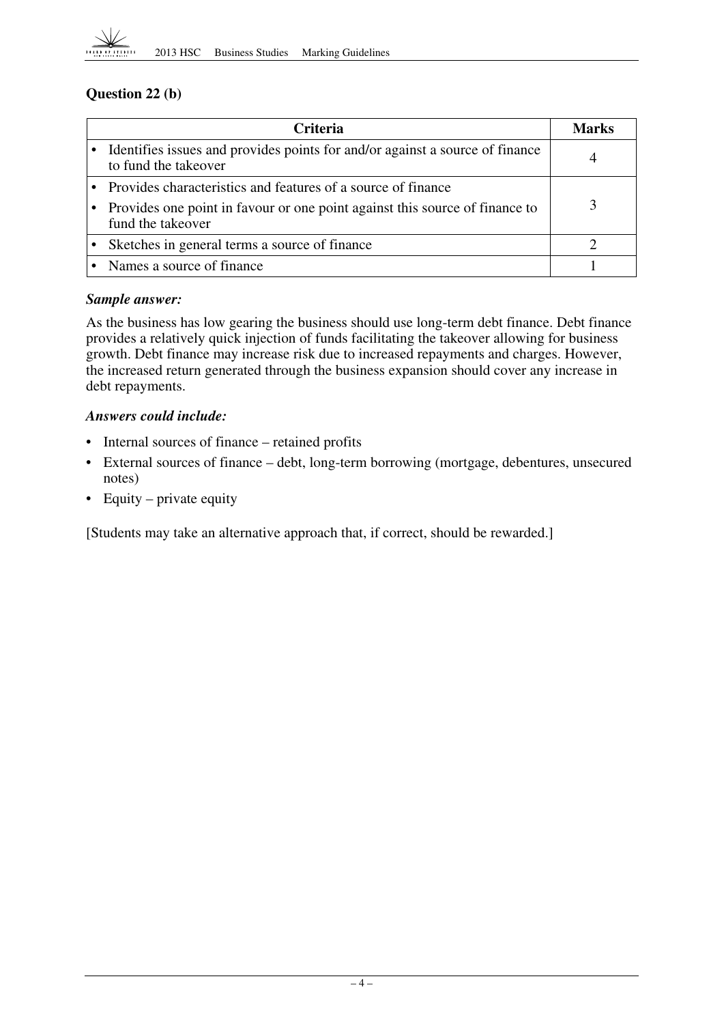

#### **Question 22 (b)**

| <b>Criteria</b>                                                                                      | <b>Marks</b> |
|------------------------------------------------------------------------------------------------------|--------------|
| Identifies issues and provides points for and/or against a source of finance<br>to fund the takeover |              |
| • Provides characteristics and features of a source of finance                                       |              |
| Provides one point in favour or one point against this source of finance to<br>fund the takeover     |              |
| Sketches in general terms a source of finance                                                        |              |
| Names a source of finance                                                                            |              |

#### *Sample answer:*

As the business has low gearing the business should use long-term debt finance. Debt finance provides a relatively quick injection of funds facilitating the takeover allowing for business growth. Debt finance may increase risk due to increased repayments and charges. However, the increased return generated through the business expansion should cover any increase in debt repayments.

#### *Answers could include:*

- Internal sources of finance retained profits
- External sources of finance debt, long-term borrowing (mortgage, debentures, unsecured notes)
- Equity private equity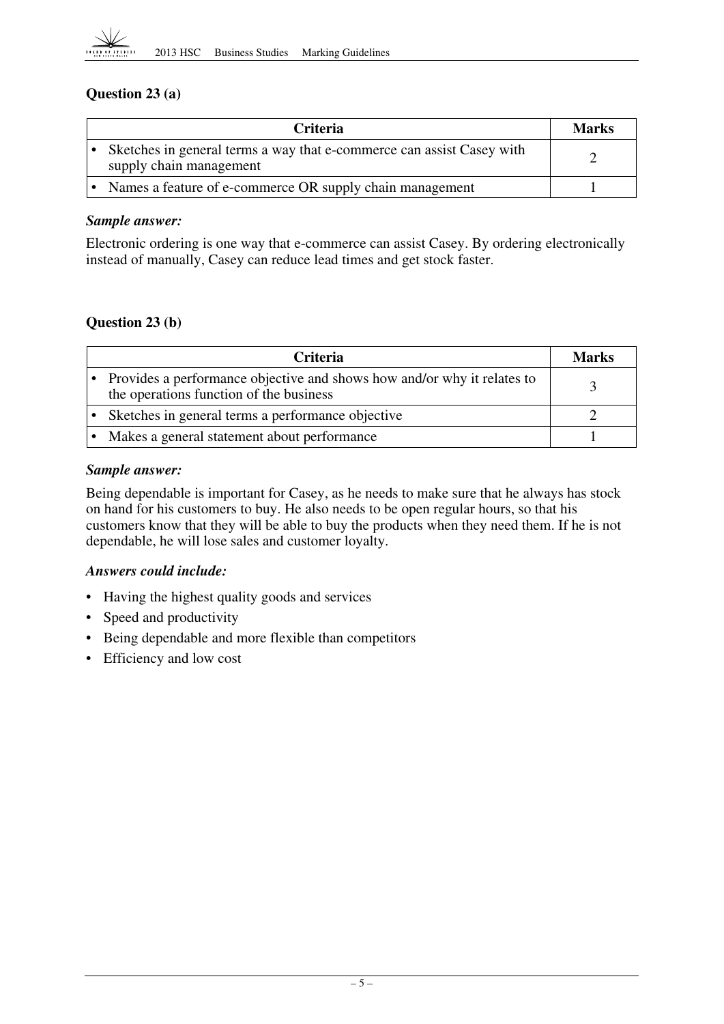

#### **Question 23 (a)**

| <b>Criteria</b>                                                                                  | <b>Marks</b> |
|--------------------------------------------------------------------------------------------------|--------------|
| Sketches in general terms a way that e-commerce can assist Casey with<br>supply chain management |              |
| Names a feature of e-commerce OR supply chain management                                         |              |

#### *Sample answer:*

Electronic ordering is one way that e-commerce can assist Casey. By ordering electronically instead of manually, Casey can reduce lead times and get stock faster.

#### **Question 23 (b)**

| <b>Criteria</b>                                                                                                      | <b>Marks</b> |
|----------------------------------------------------------------------------------------------------------------------|--------------|
| • Provides a performance objective and shows how and/or why it relates to<br>the operations function of the business |              |
| Sketches in general terms a performance objective                                                                    |              |
| Makes a general statement about performance                                                                          |              |

#### *Sample answer:*

Being dependable is important for Casey, as he needs to make sure that he always has stock on hand for his customers to buy. He also needs to be open regular hours, so that his customers know that they will be able to buy the products when they need them. If he is not dependable, he will lose sales and customer loyalty.

#### *Answers could include:*

- Having the highest quality goods and services
- Speed and productivity
- Being dependable and more flexible than competitors
- Efficiency and low cost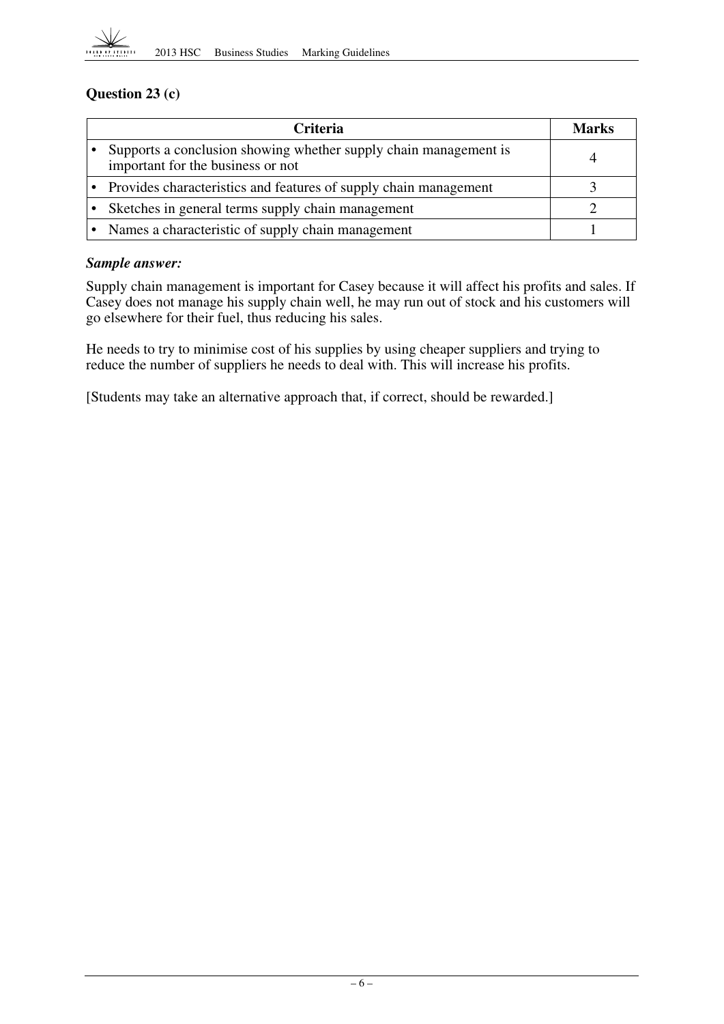

# **Question 23 (c)**

| <b>Criteria</b>                                                                                       | Marks |
|-------------------------------------------------------------------------------------------------------|-------|
| Supports a conclusion showing whether supply chain management is<br>important for the business or not |       |
| Provides characteristics and features of supply chain management                                      |       |
| Sketches in general terms supply chain management                                                     |       |
| Names a characteristic of supply chain management                                                     |       |

#### *Sample answer:*

Supply chain management is important for Casey because it will affect his profits and sales. If Casey does not manage his supply chain well, he may run out of stock and his customers will go elsewhere for their fuel, thus reducing his sales.

He needs to try to minimise cost of his supplies by using cheaper suppliers and trying to reduce the number of suppliers he needs to deal with. This will increase his profits.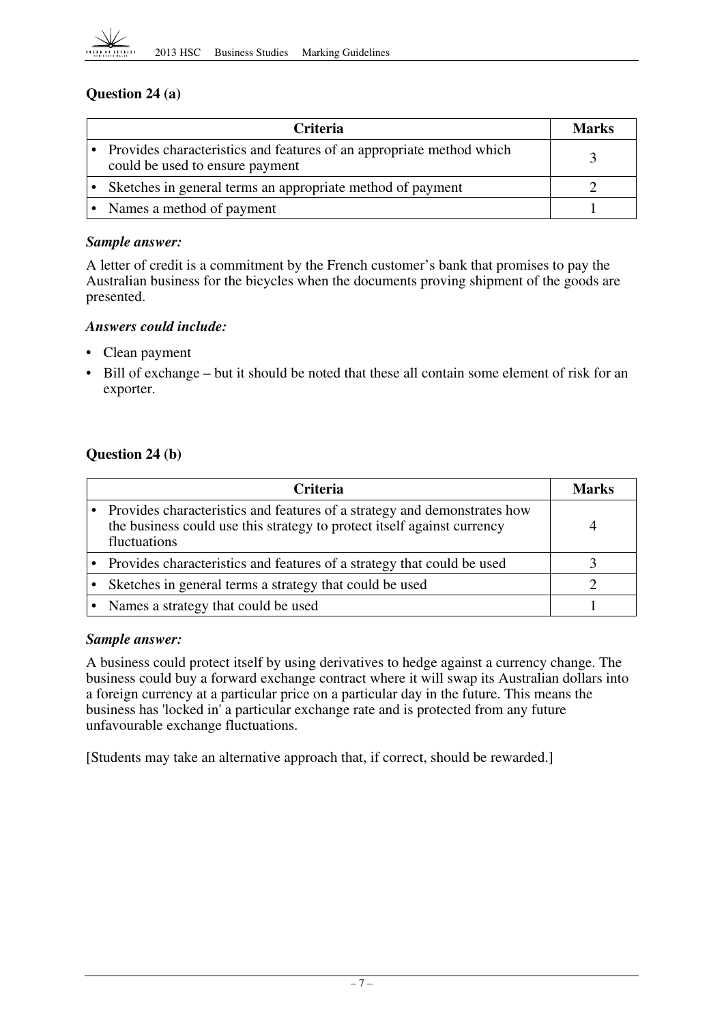

#### **Question 24 (a)**

| Criteria                                                                                                  | Marks |
|-----------------------------------------------------------------------------------------------------------|-------|
| • Provides characteristics and features of an appropriate method which<br>could be used to ensure payment |       |
| Sketches in general terms an appropriate method of payment                                                |       |
| Names a method of payment                                                                                 |       |

#### *Sample answer:*

A letter of credit is a commitment by the French customer's bank that promises to pay the Australian business for the bicycles when the documents proving shipment of the goods are presented.

#### *Answers could include:*

- Clean payment
- Bill of exchange but it should be noted that these all contain some element of risk for an exporter.

#### **Question 24 (b)**

| <b>Criteria</b>                                                                                                                                                       | Marks |
|-----------------------------------------------------------------------------------------------------------------------------------------------------------------------|-------|
| • Provides characteristics and features of a strategy and demonstrates how<br>the business could use this strategy to protect itself against currency<br>fluctuations |       |
| • Provides characteristics and features of a strategy that could be used                                                                                              |       |
| Sketches in general terms a strategy that could be used                                                                                                               |       |
| • Names a strategy that could be used                                                                                                                                 |       |

#### *Sample answer:*

A business could protect itself by using derivatives to hedge against a currency change. The business could buy a forward exchange contract where it will swap its Australian dollars into a foreign currency at a particular price on a particular day in the future. This means the business has 'locked in' a particular exchange rate and is protected from any future unfavourable exchange fluctuations.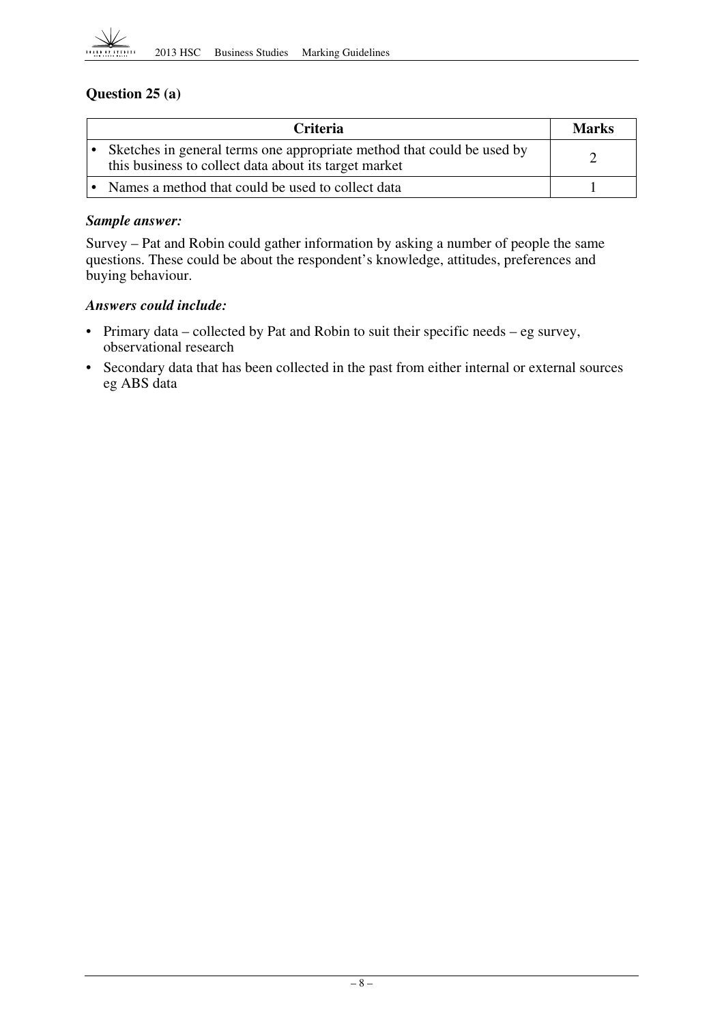

#### **Question 25 (a)**

| <b>Criteria</b>                                                                                                                 | <b>Marks</b> |
|---------------------------------------------------------------------------------------------------------------------------------|--------------|
| Sketches in general terms one appropriate method that could be used by<br>this business to collect data about its target market |              |
| Names a method that could be used to collect data                                                                               |              |

#### *Sample answer:*

Survey – Pat and Robin could gather information by asking a number of people the same questions. These could be about the respondent's knowledge, attitudes, preferences and buying behaviour.

#### *Answers could include:*

- Primary data collected by Pat and Robin to suit their specific needs eg survey, observational research
- eg ABS data • Secondary data that has been collected in the past from either internal or external sources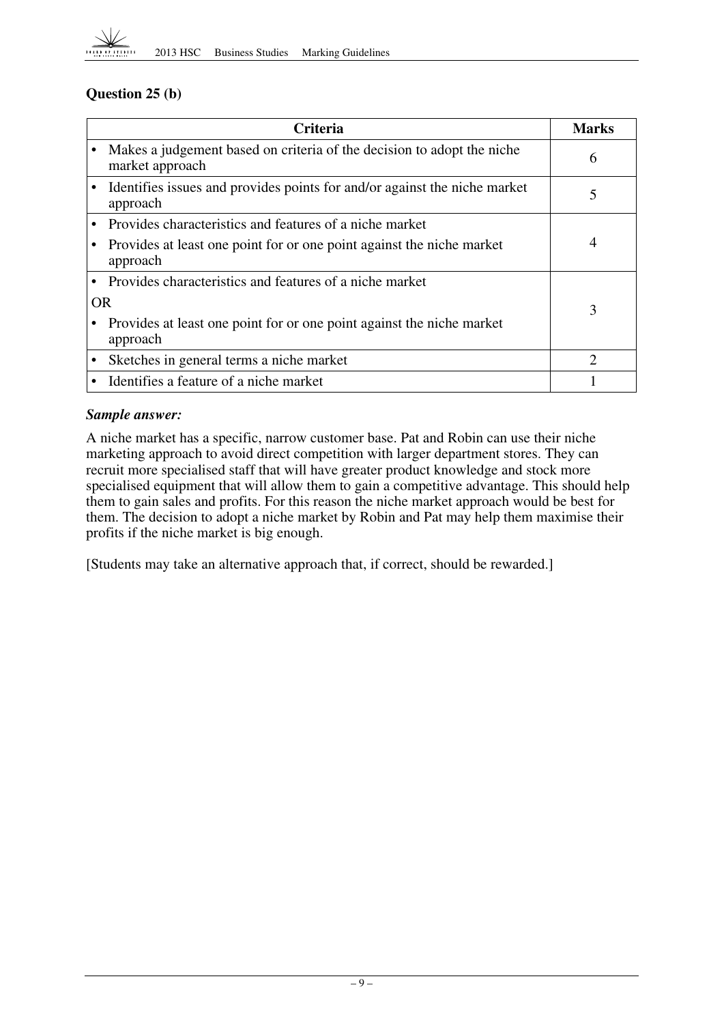

#### **Question 25 (b)**

|           | Marks                                                                                     |   |
|-----------|-------------------------------------------------------------------------------------------|---|
|           | Makes a judgement based on criteria of the decision to adopt the niche<br>market approach | 6 |
|           | Identifies issues and provides points for and/or against the niche market<br>approach     | 5 |
|           | Provides characteristics and features of a niche market                                   |   |
|           | Provides at least one point for or one point against the niche market<br>approach         | 4 |
|           | Provides characteristics and features of a niche market                                   |   |
| <b>OR</b> |                                                                                           | 3 |
|           | Provides at least one point for or one point against the niche market<br>approach         |   |
|           | Sketches in general terms a niche market                                                  | 2 |
|           | Identifies a feature of a niche market                                                    |   |

#### *Sample answer:*

A niche market has a specific, narrow customer base. Pat and Robin can use their niche marketing approach to avoid direct competition with larger department stores. They can recruit more specialised staff that will have greater product knowledge and stock more specialised equipment that will allow them to gain a competitive advantage. This should help them to gain sales and profits. For this reason the niche market approach would be best for them. The decision to adopt a niche market by Robin and Pat may help them maximise their profits if the niche market is big enough.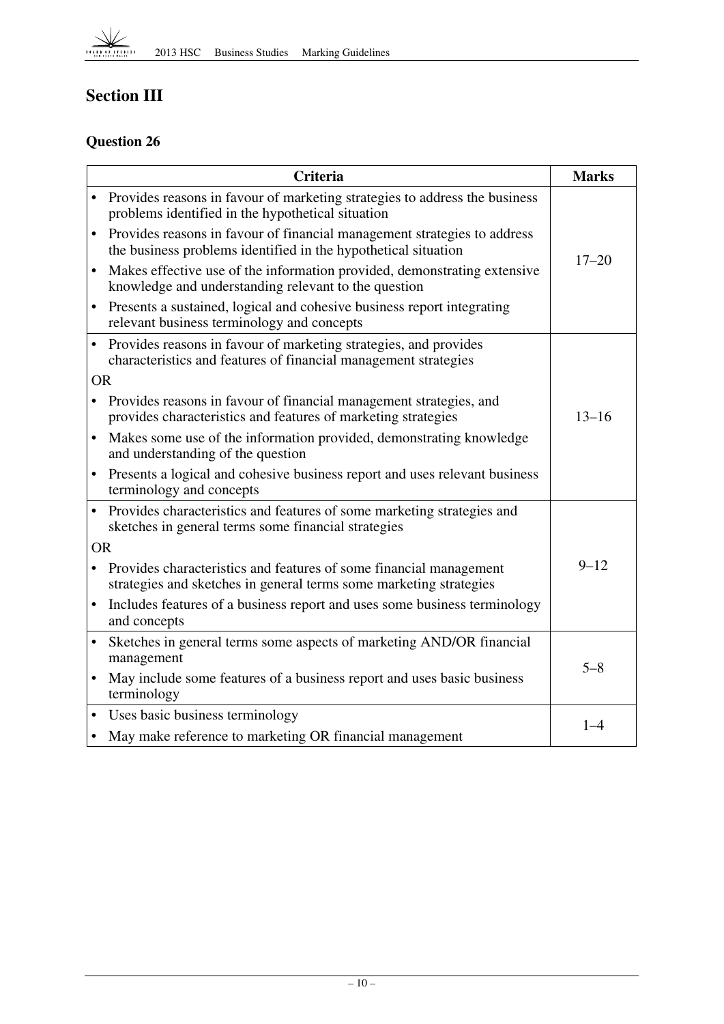

# **Section III**

# **Question 26**

|           | <b>Criteria</b>                                                                                                                            | <b>Marks</b> |
|-----------|--------------------------------------------------------------------------------------------------------------------------------------------|--------------|
|           | • Provides reasons in favour of marketing strategies to address the business<br>problems identified in the hypothetical situation          |              |
|           | Provides reasons in favour of financial management strategies to address<br>the business problems identified in the hypothetical situation | $17 - 20$    |
| $\bullet$ | Makes effective use of the information provided, demonstrating extensive<br>knowledge and understanding relevant to the question           |              |
| $\bullet$ | Presents a sustained, logical and cohesive business report integrating<br>relevant business terminology and concepts                       |              |
| $\bullet$ | Provides reasons in favour of marketing strategies, and provides<br>characteristics and features of financial management strategies        |              |
| <b>OR</b> |                                                                                                                                            |              |
|           | Provides reasons in favour of financial management strategies, and<br>provides characteristics and features of marketing strategies        | $13 - 16$    |
|           | Makes some use of the information provided, demonstrating knowledge<br>and understanding of the question                                   |              |
| $\bullet$ | Presents a logical and cohesive business report and uses relevant business<br>terminology and concepts                                     |              |
|           | • Provides characteristics and features of some marketing strategies and<br>sketches in general terms some financial strategies            |              |
| <b>OR</b> |                                                                                                                                            |              |
|           | Provides characteristics and features of some financial management<br>strategies and sketches in general terms some marketing strategies   | $9 - 12$     |
|           | Includes features of a business report and uses some business terminology<br>and concepts                                                  |              |
|           | Sketches in general terms some aspects of marketing AND/OR financial<br>management                                                         | $5 - 8$      |
|           | May include some features of a business report and uses basic business<br>terminology                                                      |              |
|           | Uses basic business terminology                                                                                                            |              |
| $\bullet$ | May make reference to marketing OR financial management                                                                                    | $1 - 4$      |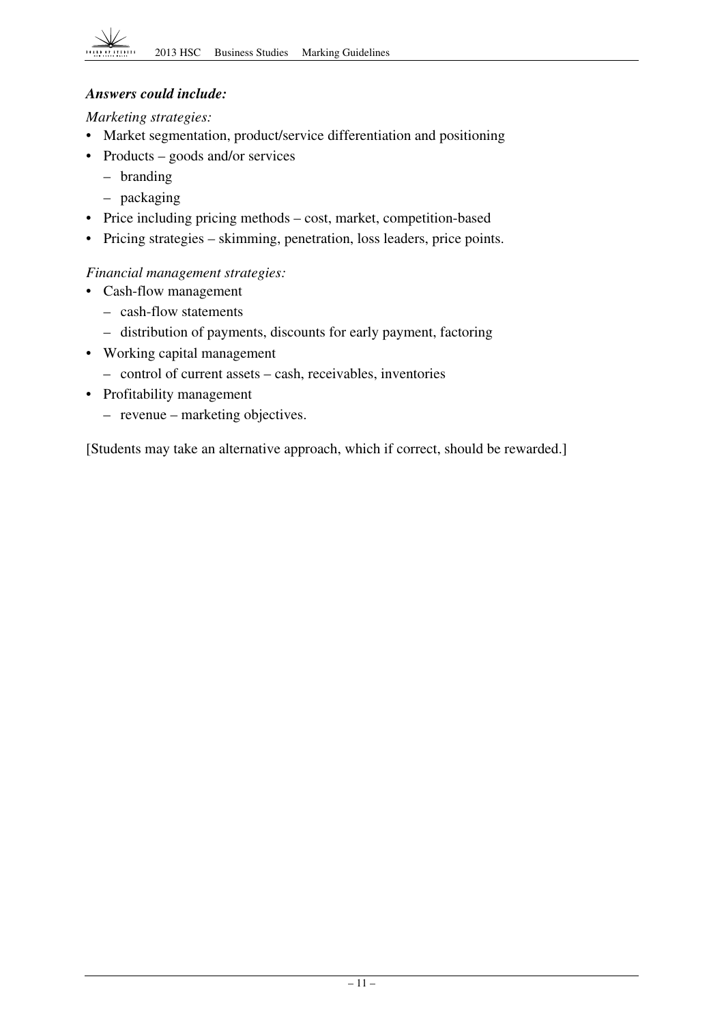## *Answers could include:*

*Marketing strategies:* 

- Market segmentation, product/service differentiation and positioning
- Products goods and/or services
	- branding
	- packaging
- Price including pricing methods cost, market, competition-based
- Pricing strategies skimming, penetration, loss leaders, price points.

#### *Financial management strategies:*

- Cash-flow management
	- cash-flow statements
	- distribution of payments, discounts for early payment, factoring
- Working capital management
	- control of current assets cash, receivables, inventories
- Profitability management
	- revenue marketing objectives.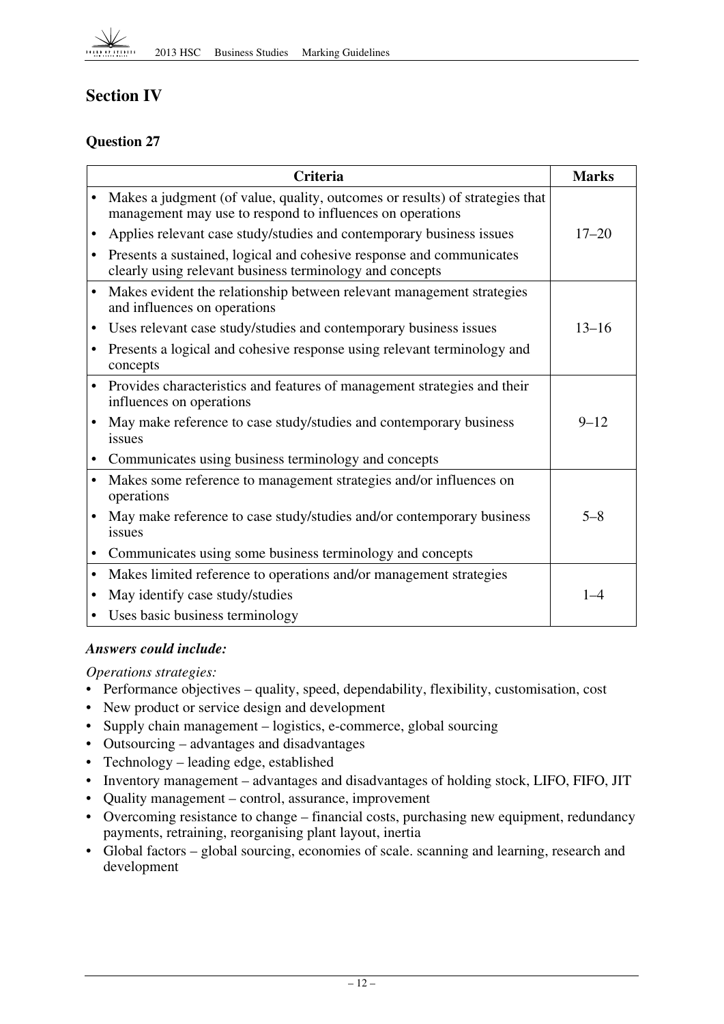

# **Section IV**

## **Question 27**

|   | <b>Criteria</b>                                                                                                                           | <b>Marks</b> |
|---|-------------------------------------------------------------------------------------------------------------------------------------------|--------------|
|   | Makes a judgment (of value, quality, outcomes or results) of strategies that<br>management may use to respond to influences on operations |              |
|   | Applies relevant case study/studies and contemporary business issues                                                                      | $17 - 20$    |
|   | Presents a sustained, logical and cohesive response and communicates<br>clearly using relevant business terminology and concepts          |              |
|   | Makes evident the relationship between relevant management strategies<br>and influences on operations                                     |              |
|   | Uses relevant case study/studies and contemporary business issues                                                                         | $13 - 16$    |
|   | Presents a logical and cohesive response using relevant terminology and<br>concepts                                                       |              |
|   | Provides characteristics and features of management strategies and their<br>influences on operations                                      |              |
|   | May make reference to case study/studies and contemporary business<br>issues                                                              | $9 - 12$     |
|   | Communicates using business terminology and concepts                                                                                      |              |
|   | Makes some reference to management strategies and/or influences on<br>operations                                                          |              |
|   | May make reference to case study/studies and/or contemporary business<br>issues                                                           | $5 - 8$      |
|   | Communicates using some business terminology and concepts                                                                                 |              |
| ٠ | Makes limited reference to operations and/or management strategies                                                                        |              |
|   | May identify case study/studies                                                                                                           | $1 - 4$      |
|   | Uses basic business terminology                                                                                                           |              |

#### *Answers could include:*

*Operations strategies:* 

- • Performance objectives quality, speed, dependability, flexibility, customisation, cost
- New product or service design and development
- Supply chain management logistics, e-commerce, global sourcing
- • Outsourcing advantages and disadvantages
- Technology leading edge, established
- Inventory management advantages and disadvantages of holding stock, LIFO, FIFO, JIT
- Quality management control, assurance, improvement
- Overcoming resistance to change financial costs, purchasing new equipment, redundancy payments, retraining, reorganising plant layout, inertia
- Global factors global sourcing, economies of scale. scanning and learning, research and development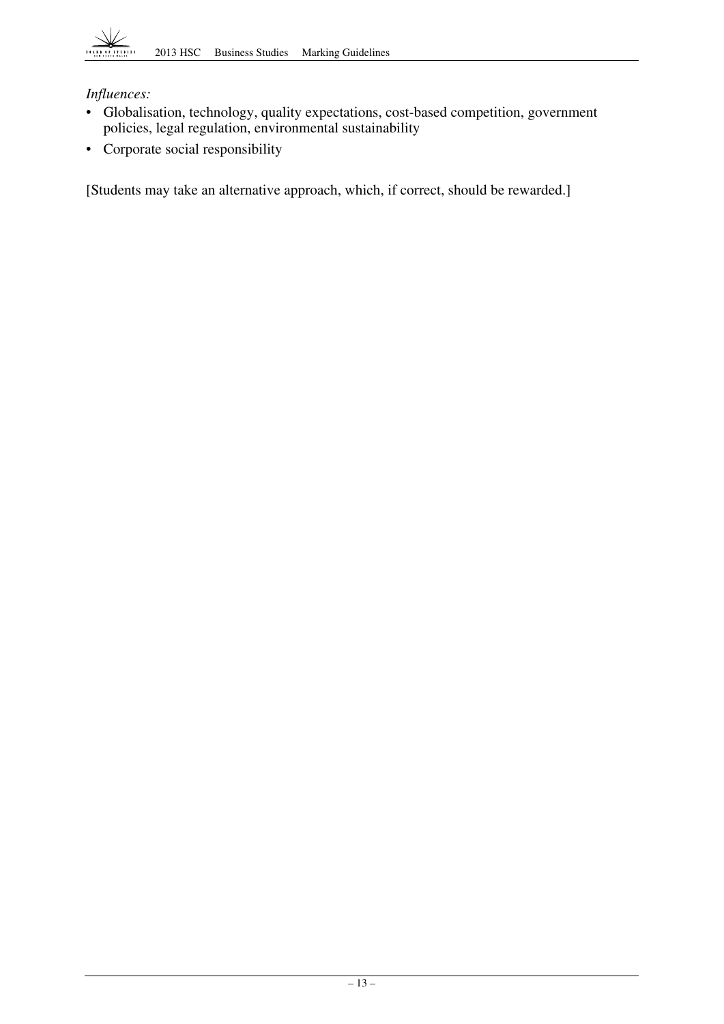# *Influences:*

- • Globalisation, technology, quality expectations, cost-based competition, government policies, legal regulation, environmental sustainability
- • Corporate social responsibility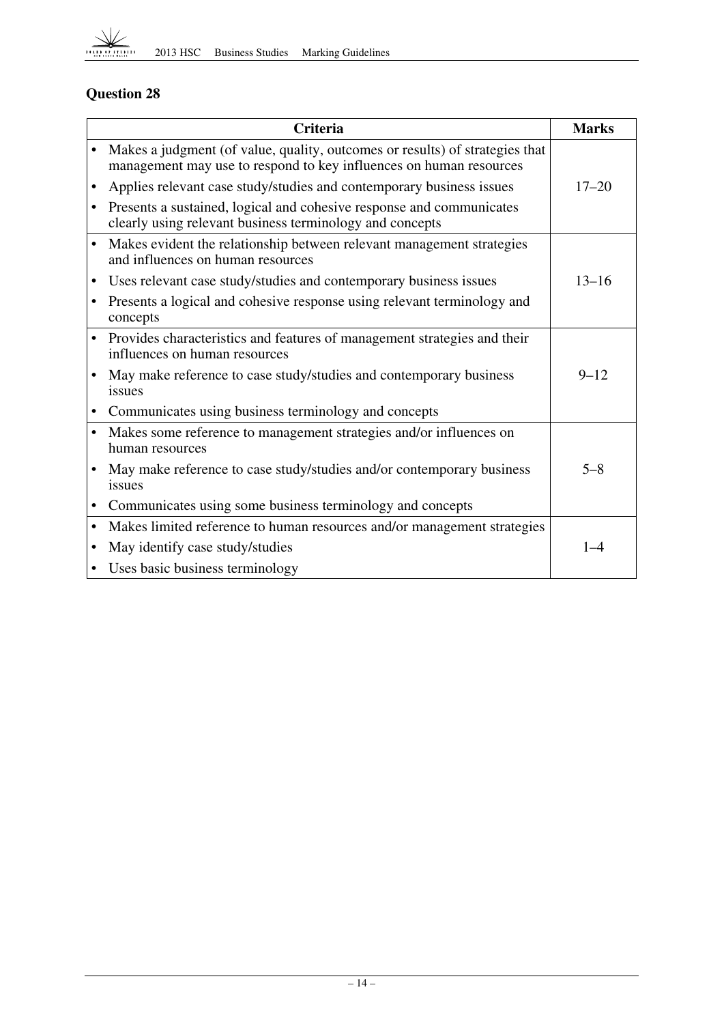

# **Question 28**

|           | <b>Criteria</b>                                                                                                                                    | <b>Marks</b> |
|-----------|----------------------------------------------------------------------------------------------------------------------------------------------------|--------------|
|           | Makes a judgment (of value, quality, outcomes or results) of strategies that<br>management may use to respond to key influences on human resources |              |
| ٠         | Applies relevant case study/studies and contemporary business issues                                                                               | $17 - 20$    |
| $\bullet$ | Presents a sustained, logical and cohesive response and communicates<br>clearly using relevant business terminology and concepts                   |              |
| $\bullet$ | Makes evident the relationship between relevant management strategies<br>and influences on human resources                                         |              |
| $\bullet$ | Uses relevant case study/studies and contemporary business issues                                                                                  | $13 - 16$    |
|           | Presents a logical and cohesive response using relevant terminology and<br>concepts                                                                |              |
| $\bullet$ | Provides characteristics and features of management strategies and their<br>influences on human resources                                          |              |
|           | May make reference to case study/studies and contemporary business<br>issues                                                                       | $9 - 12$     |
|           | Communicates using business terminology and concepts                                                                                               |              |
| $\bullet$ | Makes some reference to management strategies and/or influences on<br>human resources                                                              |              |
|           | May make reference to case study/studies and/or contemporary business<br>issues                                                                    | $5 - 8$      |
| ٠         | Communicates using some business terminology and concepts                                                                                          |              |
| $\bullet$ | Makes limited reference to human resources and/or management strategies                                                                            |              |
| $\bullet$ | May identify case study/studies                                                                                                                    | $1 - 4$      |
|           | • Uses basic business terminology                                                                                                                  |              |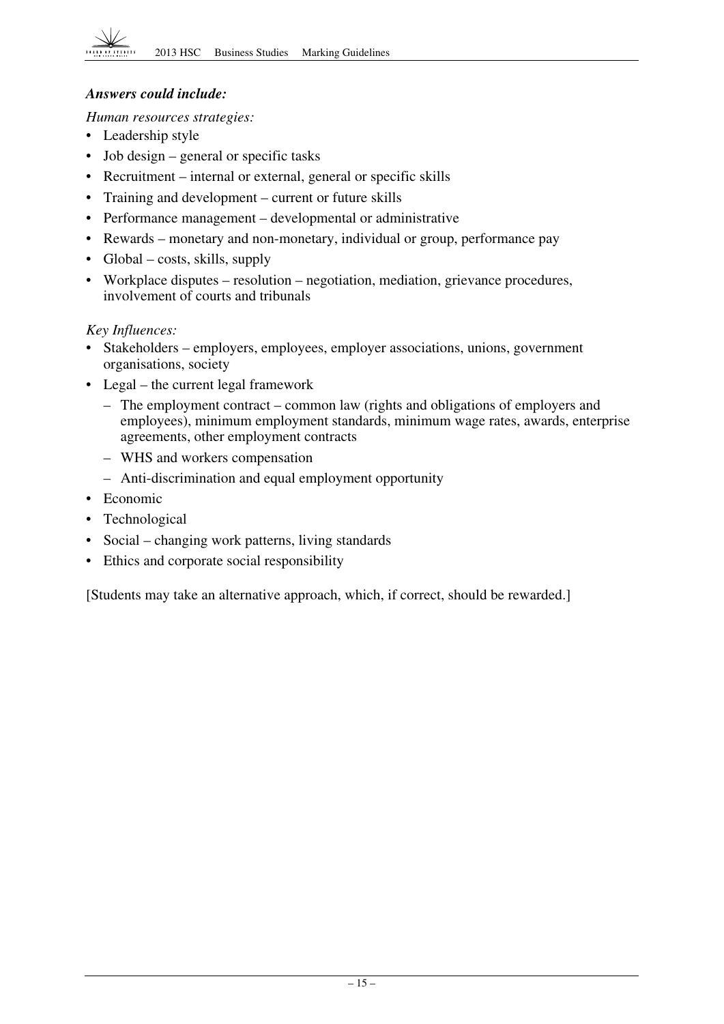## *Answers could include:*

*Human resources strategies:* 

- Leadership style
- Job design general or specific tasks
- Recruitment internal or external, general or specific skills
- Training and development current or future skills
- Performance management developmental or administrative
- Rewards monetary and non-monetary, individual or group, performance pay
- Global costs, skills, supply
- Workplace disputes resolution negotiation, mediation, grievance procedures, involvement of courts and tribunals

# *Key Influences:*

- Stakeholders employers, employees, employer associations, unions, government organisations, society
- Legal the current legal framework
	- $-$  The employment contract common law (rights and obligations of employers and employees), minimum employment standards, minimum wage rates, awards, enterprise agreements, other employment contracts
	- WHS and workers compensation
	- – Anti-discrimination and equal employment opportunity
- Economic
- Technological
- Social changing work patterns, living standards
- Ethics and corporate social responsibility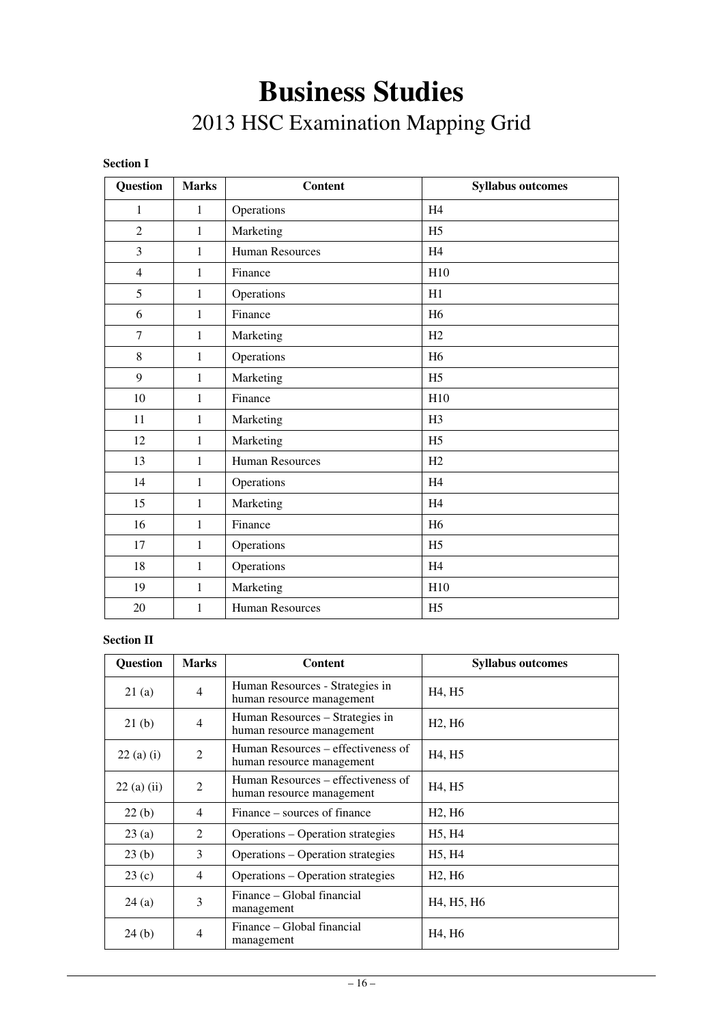# **Business Studies**  2013 HSC Examination Mapping Grid

| <b>Section 1</b> |
|------------------|
|------------------|

| <b>Question</b>  | <b>Marks</b> | <b>Content</b>         | <b>Syllabus outcomes</b> |
|------------------|--------------|------------------------|--------------------------|
| $\mathbf{1}$     | $\mathbf{1}$ | Operations             | H <sub>4</sub>           |
| $\overline{2}$   | 1            | Marketing              | H <sub>5</sub>           |
| 3                | $\mathbf{1}$ | <b>Human Resources</b> | H <sub>4</sub>           |
| $\overline{4}$   | $\mathbf{1}$ | Finance                | H10                      |
| 5                | $\mathbf{1}$ | Operations             | H1                       |
| 6                | $\mathbf{1}$ | Finance                | H <sub>6</sub>           |
| $\tau$           | $\mathbf{1}$ | Marketing              | H2                       |
| 8                | $\mathbf{1}$ | Operations             | H <sub>6</sub>           |
| $\boldsymbol{9}$ | 1            | Marketing              | H <sub>5</sub>           |
| 10               | 1            | Finance                | H10                      |
| 11               | 1            | Marketing              | H <sub>3</sub>           |
| 12               | $\mathbf{1}$ | Marketing              | H <sub>5</sub>           |
| 13               | $\mathbf{1}$ | <b>Human Resources</b> | H2                       |
| 14               | $\mathbf{1}$ | Operations             | H <sub>4</sub>           |
| 15               | $\mathbf{1}$ | Marketing              | H <sub>4</sub>           |
| 16               | $\mathbf{1}$ | Finance                | H <sub>6</sub>           |
| 17               | $\mathbf{1}$ | Operations             | H <sub>5</sub>           |
| 18               | 1            | Operations             | H <sub>4</sub>           |
| 19               | 1            | Marketing              | H10                      |
| 20               | 1            | <b>Human Resources</b> | H <sub>5</sub>           |

#### **Section II**

| <b>Question</b> | <b>Marks</b>   | <b>Content</b>                                                  | <b>Syllabus outcomes</b>                         |
|-----------------|----------------|-----------------------------------------------------------------|--------------------------------------------------|
| 21(a)           | 4              | Human Resources - Strategies in<br>human resource management    | H <sub>4</sub> , H <sub>5</sub>                  |
| 21(b)           | 4              | Human Resources – Strategies in<br>human resource management    | H <sub>2</sub> , H <sub>6</sub>                  |
| $22(a)$ (i)     | 2              | Human Resources – effectiveness of<br>human resource management | H <sub>4</sub> , H <sub>5</sub>                  |
| 22(a) (ii)      | 2              | Human Resources – effectiveness of<br>human resource management | H <sub>4</sub> , H <sub>5</sub>                  |
| 22(b)           | 4              | Finance – sources of finance                                    | H <sub>2</sub> , H <sub>6</sub>                  |
| 23(a)           | $\mathfrak{D}$ | Operations – Operation strategies                               | H <sub>5</sub> , H <sub>4</sub>                  |
| 23(b)           | 3              | Operations – Operation strategies                               | H <sub>5</sub> , H <sub>4</sub>                  |
| 23(c)           | 4              | Operations – Operation strategies                               | H <sub>2</sub> , H <sub>6</sub>                  |
| 24(a)           | 3              | Finance – Global financial<br>management                        | H <sub>4</sub> , H <sub>5</sub> , H <sub>6</sub> |
| 24(b)           | 4              | Finance – Global financial<br>management                        | H <sub>4</sub> , H <sub>6</sub>                  |